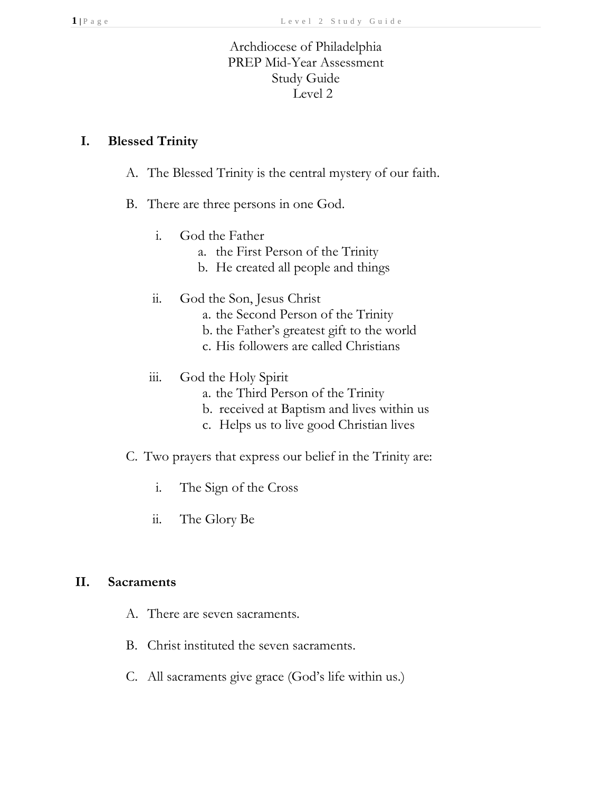# Archdiocese of Philadelphia PREP Mid-Year Assessment Study Guide Level 2

#### **I. Blessed Trinity**

- A. The Blessed Trinity is the central mystery of our faith.
- B. There are three persons in one God.
	- i. God the Father
		- a. the First Person of the Trinity
		- b. He created all people and things
	- ii. God the Son, Jesus Christ
		- a. the Second Person of the Trinity
		- b. the Father's greatest gift to the world
		- c. His followers are called Christians
	- iii. God the Holy Spirit
		- a. the Third Person of the Trinity
		- b. received at Baptism and lives within us
		- c. Helps us to live good Christian lives
- C. Two prayers that express our belief in the Trinity are:
	- i. The Sign of the Cross
	- ii. The Glory Be

#### **II. Sacraments**

- A. There are seven sacraments.
- B. Christ instituted the seven sacraments.
- C. All sacraments give grace (God's life within us.)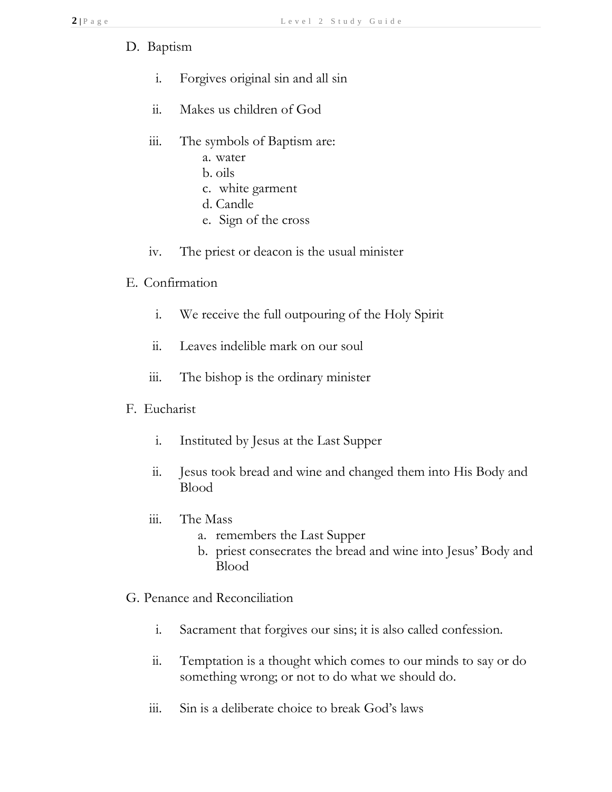- D. Baptism
	- i. Forgives original sin and all sin
	- ii. Makes us children of God
	- iii. The symbols of Baptism are:
		- a. water
		- b. oils
		- c. white garment
		- d. Candle
		- e. Sign of the cross
	- iv. The priest or deacon is the usual minister
- E. Confirmation
	- i. We receive the full outpouring of the Holy Spirit
	- ii. Leaves indelible mark on our soul
	- iii. The bishop is the ordinary minister
- F. Eucharist
	- i. Instituted by Jesus at the Last Supper
	- ii. Jesus took bread and wine and changed them into His Body and Blood
	- iii. The Mass
		- a. remembers the Last Supper
		- b. priest consecrates the bread and wine into Jesus' Body and Blood
- G. Penance and Reconciliation
	- i. Sacrament that forgives our sins; it is also called confession.
	- ii. Temptation is a thought which comes to our minds to say or do something wrong; or not to do what we should do.
	- iii. Sin is a deliberate choice to break God's laws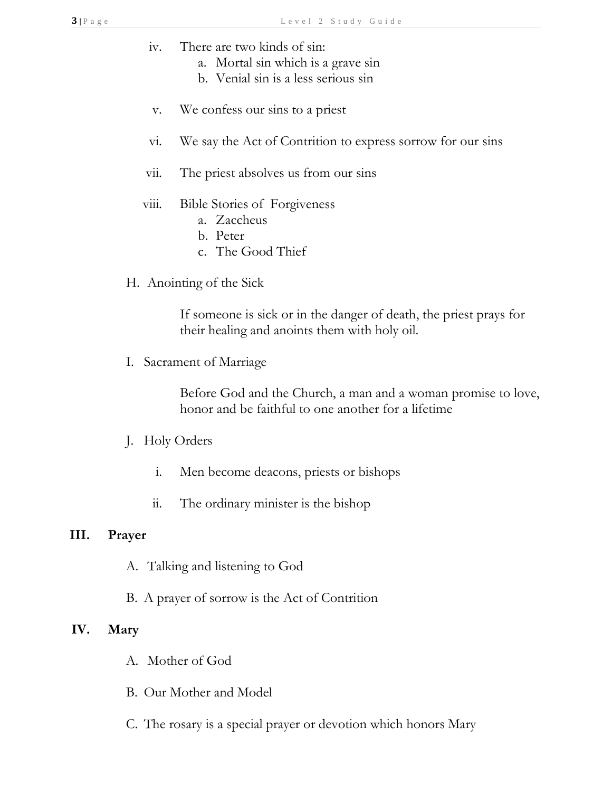- iv. There are two kinds of sin:
	- a. Mortal sin which is a grave sin
	- b. Venial sin is a less serious sin
- v. We confess our sins to a priest
- vi. We say the Act of Contrition to express sorrow for our sins
- vii. The priest absolves us from our sins

#### viii. Bible Stories of Forgiveness

- a. Zaccheus
- b. Peter
- c. The Good Thief
- H. Anointing of the Sick

If someone is sick or in the danger of death, the priest prays for their healing and anoints them with holy oil.

I. Sacrament of Marriage

Before God and the Church, a man and a woman promise to love, honor and be faithful to one another for a lifetime

# J. Holy Orders

- i. Men become deacons, priests or bishops
- ii. The ordinary minister is the bishop

#### **III. Prayer**

- A. Talking and listening to God
- B. A prayer of sorrow is the Act of Contrition

# **IV. Mary**

- A. Mother of God
- B. Our Mother and Model
- C. The rosary is a special prayer or devotion which honors Mary